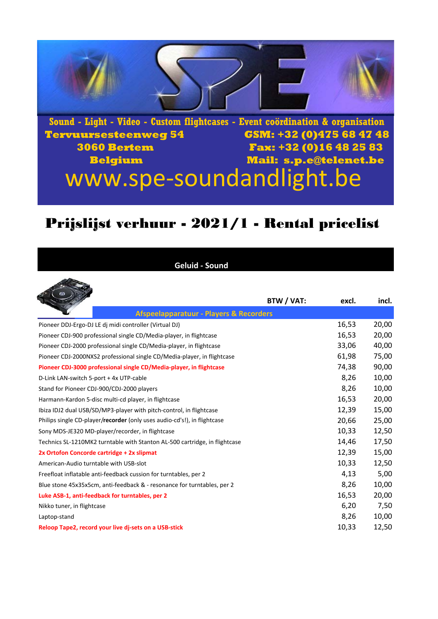

# Prijslijst verhuur - 2021/1 - Rental pricelist

| Geluid - Sound                                                             |            |       |       |
|----------------------------------------------------------------------------|------------|-------|-------|
|                                                                            | BTW / VAT: | excl. | incl. |
| <b>Afspeelapparatuur - Players &amp; Recorders</b>                         |            |       |       |
| Pioneer DDJ-Ergo-DJ LE dj midi controller (Virtual DJ)                     |            | 16,53 | 20,00 |
| Pioneer CDJ-900 professional single CD/Media-player, in flightcase         |            | 16,53 | 20,00 |
| Pioneer CDJ-2000 professional single CD/Media-player, in flightcase        |            | 33,06 | 40,00 |
| Pioneer CDJ-2000NXS2 professional single CD/Media-player, in flightcase    |            | 61,98 | 75,00 |
| Pioneer CDJ-3000 professional single CD/Media-player, in flightcase        |            | 74,38 | 90,00 |
| D-Link LAN-switch 5-port + 4x UTP-cable                                    |            | 8,26  | 10,00 |
| Stand for Pioneer CDJ-900/CDJ-2000 players                                 |            | 8,26  | 10,00 |
| Harmann-Kardon 5-disc multi-cd player, in flightcase                       |            | 16,53 | 20,00 |
| Ibiza IDJ2 dual USB/SD/MP3-player with pitch-control, in flightcase        |            | 12,39 | 15,00 |
| Philips single CD-player/recorder (only uses audio-cd's!), in flightcase   |            | 20,66 | 25,00 |
| Sony MDS-JE320 MD-player/recorder, in flightcase                           |            | 10,33 | 12,50 |
| Technics SL-1210MK2 turntable with Stanton AL-500 cartridge, in flightcase |            | 14,46 | 17,50 |
| 2x Ortofon Concorde cartridge + 2x slipmat                                 |            | 12,39 | 15,00 |
| American-Audio turntable with USB-slot                                     |            | 10,33 | 12,50 |
| Freefloat inflatable anti-feedback cussion for turntables, per 2           |            | 4,13  | 5,00  |
| Blue stone 45x35x5cm, anti-feedback & - resonance for turntables, per 2    |            | 8,26  | 10,00 |
| Luke ASB-1, anti-feedback for turntables, per 2                            |            | 16,53 | 20,00 |
| Nikko tuner, in flightcase                                                 |            | 6,20  | 7,50  |
| Laptop-stand                                                               |            | 8,26  | 10,00 |
| Reloop Tape2, record your live dj-sets on a USB-stick                      |            | 10,33 | 12,50 |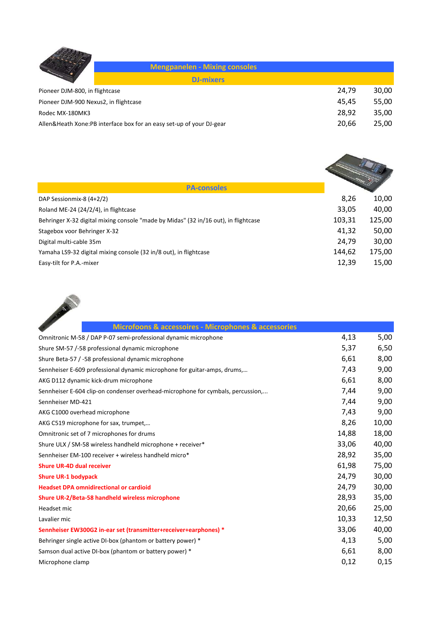

|                                       | <b>Mengpanelen - Mixing consoles</b>                                 |       |       |
|---------------------------------------|----------------------------------------------------------------------|-------|-------|
|                                       | <b>DJ-mixers</b>                                                     |       |       |
| Pioneer DJM-800, in flightcase        |                                                                      | 24,79 | 30,00 |
| Pioneer DJM-900 Nexus2, in flightcase |                                                                      | 45,45 | 55,00 |
| Rodec MX-180MK3                       |                                                                      | 28,92 | 35,00 |
|                                       | Allen&Heath Xone:PB interface box for an easy set-up of your DJ-gear | 20,66 | 25,00 |
|                                       |                                                                      |       |       |

| <b>PA-consoles</b>                                                                  |        |        |
|-------------------------------------------------------------------------------------|--------|--------|
|                                                                                     |        |        |
| DAP Sessionmix-8 (4+2/2)                                                            | 8,26   | 10,00  |
| Roland ME-24 (24/2/4), in flightcase                                                | 33,05  | 40,00  |
| Behringer X-32 digital mixing console "made by Midas" (32 in/16 out), in flightcase | 103,31 | 125,00 |
| Stagebox voor Behringer X-32                                                        | 41,32  | 50,00  |
| Digital multi-cable 35m                                                             | 24,79  | 30,00  |
| Yamaha LS9-32 digital mixing console (32 in/8 out), in flightcase                   | 144,62 | 175,00 |
| Easy-tilt for P.A.-mixer                                                            | 12,39  | 15,00  |
|                                                                                     |        |        |



|                                  | Microfoons & accessoires - Microphones & accessories                            |       |       |
|----------------------------------|---------------------------------------------------------------------------------|-------|-------|
|                                  | Omnitronic M-58 / DAP P-07 semi-professional dynamic microphone                 | 4,13  | 5,00  |
|                                  | Shure SM-57 /-58 professional dynamic microphone                                | 5,37  | 6,50  |
|                                  | Shure Beta-57 / -58 professional dynamic microphone                             | 6,61  | 8,00  |
|                                  | Sennheiser E-609 professional dynamic microphone for guitar-amps, drums,        | 7,43  | 9,00  |
|                                  | AKG D112 dynamic kick-drum microphone                                           | 6,61  | 8,00  |
|                                  | Sennheiser E-604 clip-on condenser overhead-microphone for cymbals, percussion, | 7,44  | 9,00  |
| Sennheiser MD-421                |                                                                                 | 7,44  | 9,00  |
| AKG C1000 overhead microphone    |                                                                                 | 7,43  | 9,00  |
|                                  | AKG C519 microphone for sax, trumpet,                                           | 8,26  | 10,00 |
|                                  | Omnitronic set of 7 microphones for drums                                       | 14,88 | 18,00 |
|                                  | Shure ULX / SM-58 wireless handheld microphone + receiver*                      | 33,06 | 40,00 |
|                                  | Sennheiser EM-100 receiver + wireless handheld micro*                           | 28,92 | 35,00 |
| <b>Shure UR-4D dual receiver</b> |                                                                                 | 61,98 | 75,00 |
| <b>Shure UR-1 bodypack</b>       |                                                                                 | 24,79 | 30,00 |
|                                  | <b>Headset DPA omnidirectional or cardioid</b>                                  | 24,79 | 30,00 |
|                                  | <b>Shure UR-2/Beta-58 handheld wireless microphone</b>                          | 28,93 | 35,00 |
| Headset mic                      |                                                                                 | 20,66 | 25,00 |
| Lavalier mic                     |                                                                                 | 10,33 | 12,50 |
|                                  | Sennheiser EW300G2 in-ear set (transmitter+receiver+earphones) *                | 33,06 | 40,00 |
|                                  | Behringer single active DI-box (phantom or battery power) *                     | 4,13  | 5,00  |
|                                  | Samson dual active DI-box (phantom or battery power) *                          | 6,61  | 8,00  |
| Microphone clamp                 |                                                                                 | 0,12  | 0,15  |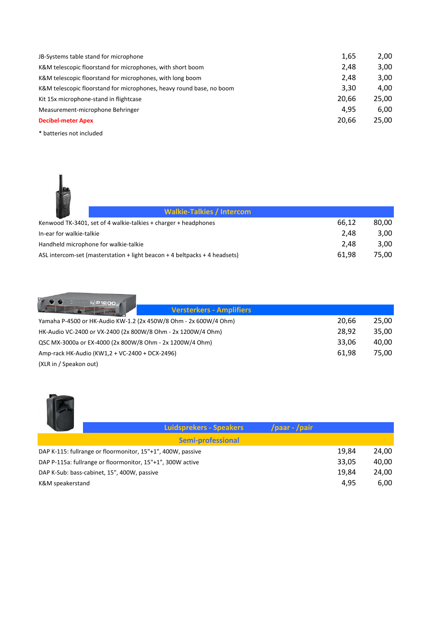| JB-Systems table stand for microphone                                | 1,65  | 2,00  |
|----------------------------------------------------------------------|-------|-------|
| K&M telescopic floorstand for microphones, with short boom           | 2.48  | 3,00  |
| K&M telescopic floorstand for microphones, with long boom            | 2.48  | 3,00  |
| K&M telescopic floorstand for microphones, heavy round base, no boom | 3,30  | 4,00  |
| Kit 15x microphone-stand in flightcase                               | 20.66 | 25.00 |
| Measurement-microphone Behringer                                     | 4.95  | 6.00  |
| <b>Decibel-meter Apex</b>                                            | 20.66 | 25,00 |
| * batteries not included                                             |       |       |



| <b>Walkie-Talkies / Intercom</b>                                           |       |                   |
|----------------------------------------------------------------------------|-------|-------------------|
| Kenwood TK-3401, set of 4 walkie-talkies + charger + headphones            | 66.12 | 80.00             |
| In-ear for walkie-talkie                                                   | 2.48  | 3,00              |
| Handheld microphone for walkie-talkie                                      | 2.48  | 3.00 <sub>1</sub> |
| ASL intercom-set (masterstation + light beacon + 4 beltpacks + 4 headsets) | 61.98 | 75.00             |

| $FY$ P1200                                                       |       |       |
|------------------------------------------------------------------|-------|-------|
| <b>Versterkers - Amplifiers</b>                                  |       |       |
| Yamaha P-4500 or HK-Audio KW-1.2 (2x 450W/8 Ohm - 2x 600W/4 Ohm) | 20.66 | 25,00 |
| HK-Audio VC-2400 or VX-2400 (2x 800W/8 Ohm - 2x 1200W/4 Ohm)     | 28,92 | 35,00 |
| QSC MX-3000a or EX-4000 (2x 800W/8 Ohm - 2x 1200W/4 Ohm)         | 33.06 | 40,00 |
| Amp-rack HK-Audio (KW1,2 + VC-2400 + DCX-2496)                   | 61.98 | 75,00 |
| (XLR in / Speakon out)                                           |       |       |

 **Luidsprekers ‐ Speakers /paar ‐ /pair Semi‐professional** DAP K-115: fullrange or floormonitor, 15"+1", 400W, passive 19, 19,84 24,00 DAP P-115a: fullrange or floormonitor, 15"+1", 300W active 33,05 40,00 DAP K-Sub: bass-cabinet, 15", 400W, passive 19, and the 19 set of 19,84 24,00 K&M speakerstand 4,95 6,00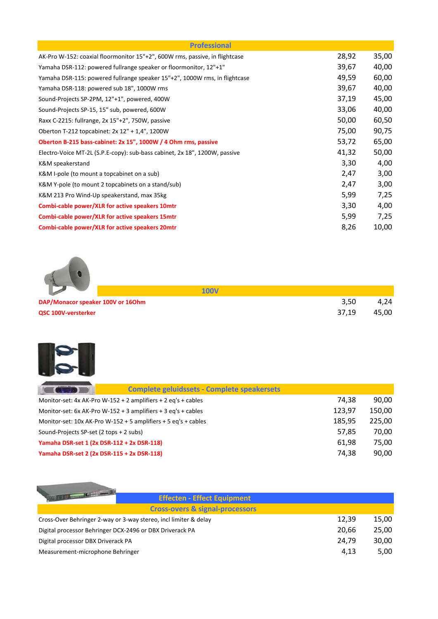| <b>Professional</b>                                                         |       |       |
|-----------------------------------------------------------------------------|-------|-------|
| AK-Pro W-152: coaxial floormonitor 15"+2", 600W rms, passive, in flightcase | 28,92 | 35,00 |
| Yamaha DSR-112: powered fullrange speaker or floormonitor, 12"+1"           | 39,67 | 40,00 |
| Yamaha DSR-115: powered fullrange speaker 15"+2", 1000W rms, in flightcase  | 49.59 | 60,00 |
| Yamaha DSR-118: powered sub 18", 1000W rms                                  | 39,67 | 40,00 |
| Sound-Projects SP-2PM, 12"+1", powered, 400W                                | 37,19 | 45,00 |
| Sound-Projects SP-15, 15" sub, powered, 600W                                | 33,06 | 40,00 |
| Raxx C-2215: fullrange, 2x 15"+2", 750W, passive                            | 50,00 | 60,50 |
| Oberton T-212 topcabinet: $2x 12'' + 1.4''$ , 1200W                         | 75,00 | 90,75 |
| Oberton B-215 bass-cabinet: 2x 15", 1000W / 4 Ohm rms, passive              | 53,72 | 65,00 |
| Electro-Voice MT-2L (S.P.E-copy): sub-bass cabinet, 2x 18", 1200W, passive  | 41,32 | 50,00 |
| K&M speakerstand                                                            | 3,30  | 4,00  |
| K&M I-pole (to mount a topcabinet on a sub)                                 | 2,47  | 3,00  |
| K&M Y-pole (to mount 2 topcabinets on a stand/sub)                          | 2,47  | 3,00  |
| K&M 213 Pro Wind-Up speakerstand, max 35kg                                  | 5,99  | 7,25  |
| Combi-cable power/XLR for active speakers 10mtr                             | 3,30  | 4,00  |
| Combi-cable power/XLR for active speakers 15mtr                             | 5,99  | 7,25  |
| Combi-cable power/XLR for active speakers 20mtr                             | 8,26  | 10,00 |



| <b>CONTRACTOR</b>                 | <b>100V</b> |       |
|-----------------------------------|-------------|-------|
| DAP/Monacor speaker 100V or 16Ohm | 3.50        | 4.24  |
| QSC 100V-versterker               | 37.19       | 45.00 |



| $\blacksquare$<br><b>Complete geluidssets - Complete speakersets</b> |        |        |
|----------------------------------------------------------------------|--------|--------|
| Monitor-set: $4x$ AK-Pro W-152 + 2 amplifiers + 2 eq's + cables      | 74.38  | 90.00  |
| Monitor-set: 6x AK-Pro W-152 + 3 amplifiers + 3 eq's + cables        | 123,97 | 150,00 |
| Monitor-set: $10x$ AK-Pro W-152 + 5 amplifiers + 5 eq's + cables     | 185.95 | 225,00 |
| Sound-Projects SP-set (2 tops + 2 subs)                              | 57,85  | 70.00  |
| Yamaha DSR-set 1 (2x DSR-112 + 2x DSR-118)                           | 61,98  | 75,00  |
| Yamaha DSR-set 2 (2x DSR-115 + 2x DSR-118)                           | 74,38  | 90,00  |

| <b>CHILEDIAN CHILED.</b>                                 | <b>Effecten - Effect Equipment</b>                               |       |       |
|----------------------------------------------------------|------------------------------------------------------------------|-------|-------|
|                                                          | <b>Cross-overs &amp; signal-processors</b>                       |       |       |
|                                                          | Cross-Over Behringer 2-way or 3-way stereo, incl limiter & delay | 12.39 | 15,00 |
| Digital processor Behringer DCX-2496 or DBX Driverack PA |                                                                  | 20.66 | 25,00 |
| Digital processor DBX Driverack PA                       |                                                                  | 24,79 | 30,00 |
| Measurement-microphone Behringer                         |                                                                  | 4,13  | 5,00  |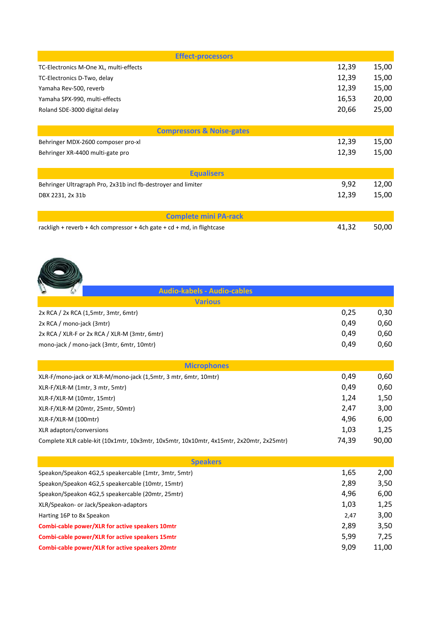| <b>Effect-processors</b>                                               |       |       |
|------------------------------------------------------------------------|-------|-------|
| TC-Electronics M-One XL, multi-effects                                 | 12,39 | 15,00 |
| TC-Electronics D-Two, delay                                            | 12,39 | 15,00 |
| Yamaha Rev-500, reverb                                                 | 12,39 | 15,00 |
| Yamaha SPX-990, multi-effects                                          | 16,53 | 20,00 |
| Roland SDE-3000 digital delay                                          | 20,66 | 25,00 |
| <b>Compressors &amp; Noise-gates</b>                                   |       |       |
| Behringer MDX-2600 composer pro-xl                                     | 12,39 | 15,00 |
| Behringer XR-4400 multi-gate pro                                       | 12,39 | 15,00 |
| <b>Equalisers</b>                                                      |       |       |
| Behringer Ultragraph Pro, 2x31b incl fb-destroyer and limiter          | 9,92  | 12,00 |
| DBX 2231, 2x 31b                                                       | 12,39 | 15,00 |
| <b>Complete mini PA-rack</b>                                           |       |       |
| rackligh + reverb + 4ch compressor + 4ch gate + cd + md, in flightcase | 41,32 | 50,00 |



| $\sum_{i\in I}$<br><b>Audio-kabels - Audio-cables</b>                                   |       |       |
|-----------------------------------------------------------------------------------------|-------|-------|
| <b>Various</b>                                                                          |       |       |
| 2x RCA / 2x RCA (1,5mtr, 3mtr, 6mtr)                                                    | 0,25  | 0,30  |
| 2x RCA / mono-jack (3mtr)                                                               | 0,49  | 0,60  |
| 2x RCA / XLR-F or 2x RCA / XLR-M (3mtr, 6mtr)                                           | 0,49  | 0,60  |
| mono-jack / mono-jack (3mtr, 6mtr, 10mtr)                                               | 0,49  | 0,60  |
|                                                                                         |       |       |
| <b>Microphones</b>                                                                      |       |       |
| XLR-F/mono-jack or XLR-M/mono-jack (1,5mtr, 3 mtr, 6mtr, 10mtr)                         | 0,49  | 0,60  |
| XLR-F/XLR-M (1mtr, 3 mtr, 5mtr)                                                         | 0,49  | 0,60  |
| XLR-F/XLR-M (10mtr, 15mtr)                                                              | 1,24  | 1,50  |
| XLR-F/XLR-M (20mtr, 25mtr, 50mtr)                                                       | 2,47  | 3,00  |
| XLR-F/XLR-M (100mtr)                                                                    | 4,96  | 6,00  |
| XLR adaptors/conversions                                                                | 1,03  | 1,25  |
| Complete XLR cable-kit (10x1mtr, 10x3mtr, 10x5mtr, 10x10mtr, 4x15mtr, 2x20mtr, 2x25mtr) | 74,39 | 90,00 |
|                                                                                         |       |       |
| <b>Speakers</b>                                                                         |       |       |
| Speakon/Speakon 4G2,5 speakercable (1mtr, 3mtr, 5mtr)                                   | 1,65  | 2,00  |
| Speakon/Speakon 4G2,5 speakercable (10mtr, 15mtr)                                       | 2,89  | 3,50  |

| Speakon/Speakon 4G2,5 speakercable (20mtr, 25mtr) | 4.96 | 6.00  |
|---------------------------------------------------|------|-------|
| XLR/Speakon- or Jack/Speakon-adaptors             | 1.03 | 1.25  |
| Harting 16P to 8x Speakon                         | 2.47 | 3.00  |
| Combi-cable power/XLR for active speakers 10mtr   | 2.89 | 3.50  |
| Combi-cable power/XLR for active speakers 15mtr   | 5.99 | 7.25  |
| Combi-cable power/XLR for active speakers 20mtr   | 9,09 | 11.00 |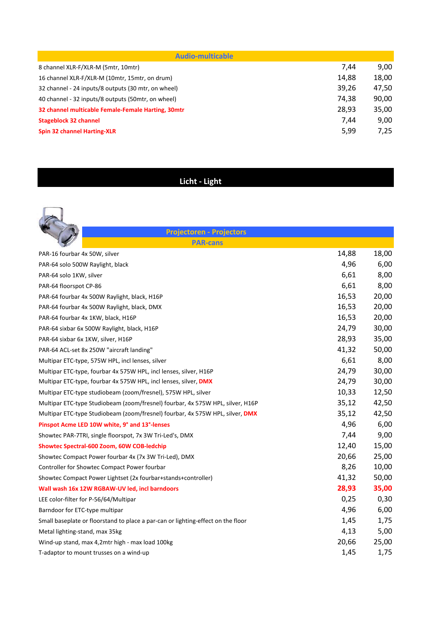| 9.00                                                     |
|----------------------------------------------------------|
| 18,00                                                    |
| 47,50                                                    |
| 90,00                                                    |
| 35,00                                                    |
| 9.00                                                     |
| 7,25                                                     |
| 7.44<br>14,88<br>39,26<br>74.38<br>28.93<br>7.44<br>5,99 |

## **Licht ‐ Light**

| <b>Projectoren - Projectors</b>                                                  |       |       |
|----------------------------------------------------------------------------------|-------|-------|
| <b>PAR-cans</b><br>PAR-16 fourbar 4x 50W, silver                                 | 14,88 | 18,00 |
| PAR-64 solo 500W Raylight, black                                                 | 4,96  | 6,00  |
|                                                                                  | 6,61  | 8,00  |
| PAR-64 solo 1KW, silver<br>PAR-64 floorspot CP-86                                | 6,61  | 8,00  |
|                                                                                  | 16,53 | 20,00 |
| PAR-64 fourbar 4x 500W Raylight, black, H16P                                     | 16,53 | 20,00 |
| PAR-64 fourbar 4x 500W Raylight, black, DMX                                      | 16,53 | 20,00 |
| PAR-64 fourbar 4x 1KW, black, H16P                                               | 24,79 | 30,00 |
| PAR-64 sixbar 6x 500W Raylight, black, H16P                                      | 28,93 |       |
| PAR-64 sixbar 6x 1KW, silver, H16P                                               |       | 35,00 |
| PAR-64 ACL-set 8x 250W "aircraft landing"                                        | 41,32 | 50,00 |
| Multipar ETC-type, 575W HPL, incl lenses, silver                                 | 6,61  | 8,00  |
| Multipar ETC-type, fourbar 4x 575W HPL, incl lenses, silver, H16P                | 24,79 | 30,00 |
| Multipar ETC-type, fourbar 4x 575W HPL, incl lenses, silver, DMX                 | 24,79 | 30,00 |
| Multipar ETC-type studiobeam (zoom/fresnel), 575W HPL, silver                    | 10,33 | 12,50 |
| Multipar ETC-type Studiobeam (zoom/fresnel) fourbar, 4x 575W HPL, silver, H16P   | 35,12 | 42,50 |
| Multipar ETC-type Studiobeam (zoom/fresnel) fourbar, 4x 575W HPL, silver, DMX    | 35,12 | 42,50 |
| Pinspot Acme LED 10W white, 9° and 13°-lenses                                    | 4,96  | 6,00  |
| Showtec PAR-7TRI, single floorspot, 7x 3W Tri-Led's, DMX                         | 7,44  | 9,00  |
| Showtec Spectral-600 Zoom, 60W COB-ledchip                                       | 12,40 | 15,00 |
| Showtec Compact Power fourbar 4x (7x 3W Tri-Led), DMX                            | 20,66 | 25,00 |
| Controller for Showtec Compact Power fourbar                                     | 8,26  | 10,00 |
| Showtec Compact Power Lightset (2x fourbar+stands+controller)                    | 41,32 | 50,00 |
| Wall wash 16x 12W RGBAW-UV led, incl barndoors                                   | 28,93 | 35,00 |
| LEE color-filter for P-56/64/Multipar                                            | 0,25  | 0,30  |
| Barndoor for ETC-type multipar                                                   | 4,96  | 6,00  |
| Small baseplate or floorstand to place a par-can or lighting-effect on the floor | 1,45  | 1,75  |
| Metal lighting-stand, max 35kg                                                   | 4,13  | 5,00  |
| Wind-up stand, max 4,2mtr high - max load 100kg                                  | 20,66 | 25,00 |
| T-adaptor to mount trusses on a wind-up                                          | 1,45  | 1,75  |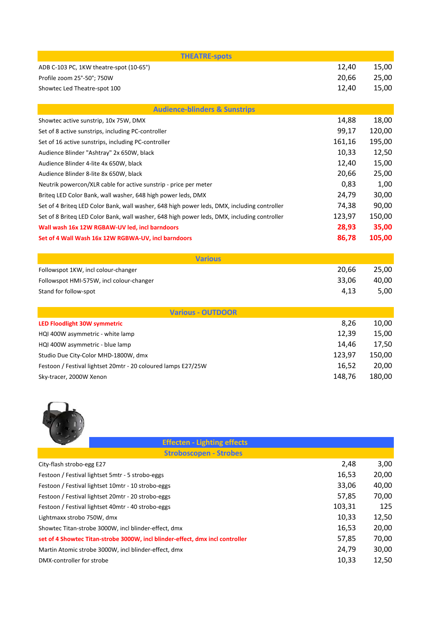| <b>THEATRE-spots</b>                                                                        |        |        |
|---------------------------------------------------------------------------------------------|--------|--------|
| ADB C-103 PC, 1KW theatre-spot (10-65°)                                                     | 12,40  | 15,00  |
| Profile zoom 25°-50°; 750W                                                                  | 20,66  | 25,00  |
| Showtec Led Theatre-spot 100                                                                | 12,40  | 15,00  |
|                                                                                             |        |        |
| <b>Audience-blinders &amp; Sunstrips</b>                                                    |        |        |
| Showtec active sunstrip, 10x 75W, DMX                                                       | 14,88  | 18,00  |
| Set of 8 active sunstrips, including PC-controller                                          | 99,17  | 120,00 |
| Set of 16 active sunstrips, including PC-controller                                         | 161,16 | 195,00 |
| Audience Blinder "Ashtray" 2x 650W, black                                                   | 10,33  | 12,50  |
| Audience Blinder 4-lite 4x 650W, black                                                      | 12,40  | 15,00  |
| Audience Blinder 8-lite 8x 650W, black                                                      | 20,66  | 25,00  |
| Neutrik powercon/XLR cable for active sunstrip - price per meter                            | 0,83   | 1,00   |
| Briteq LED Color Bank, wall washer, 648 high power leds, DMX                                | 24,79  | 30,00  |
| Set of 4 Briteg LED Color Bank, wall washer, 648 high power leds, DMX, including controller | 74,38  | 90,00  |
| Set of 8 Briteg LED Color Bank, wall washer, 648 high power leds, DMX, including controller | 123,97 | 150,00 |
| Wall wash 16x 12W RGBAW-UV led, incl barndoors                                              | 28,93  | 35,00  |
| Set of 4 Wall Wash 16x 12W RGBWA-UV, incl barndoors                                         | 86,78  | 105,00 |
|                                                                                             |        |        |
| <b>Various</b>                                                                              |        |        |
| Followspot 1KW, incl colour-changer                                                         | 20,66  | 25,00  |
| Followspot HMI-575W, incl colour-changer                                                    | 33,06  | 40,00  |
| Stand for follow-spot                                                                       | 4,13   | 5,00   |
|                                                                                             |        |        |
| <b>Various - OUTDOOR</b>                                                                    |        |        |
| <b>LED Floodlight 30W symmetric</b>                                                         | 8,26   | 10,00  |
| HQI 400W asymmetric - white lamp                                                            | 12,39  | 15,00  |
| HQI 400W asymmetric - blue lamp                                                             | 14,46  | 17,50  |
| Studio Due City-Color MHD-1800W, dmx                                                        | 123,97 | 150,00 |
| Festoon / Festival lightset 20mtr - 20 coloured lamps E27/25W                               | 16,52  | 20,00  |
| Sky-tracer, 2000W Xenon                                                                     | 148,76 | 180,00 |



| $\sim$<br><b>Effecten - Lighting effects</b>                                  |        |       |
|-------------------------------------------------------------------------------|--------|-------|
| <b>Stroboscopen - Strobes</b>                                                 |        |       |
| City-flash strobo-egg E27                                                     | 2,48   | 3,00  |
| Festoon / Festival lightset 5mtr - 5 strobo-eggs                              | 16,53  | 20,00 |
| Festoon / Festival lightset 10mtr - 10 strobo-eggs                            | 33,06  | 40,00 |
| Festoon / Festival lightset 20mtr - 20 strobo-eggs                            | 57.85  | 70,00 |
| Festoon / Festival lightset 40mtr - 40 strobo-eggs                            | 103,31 | 125   |
| Lightmaxx strobo 750W, dmx                                                    | 10.33  | 12,50 |
| Showtec Titan-strobe 3000W, incl blinder-effect, dmx                          | 16,53  | 20,00 |
| set of 4 Showtec Titan-strobe 3000W, incl blinder-effect, dmx incl controller | 57,85  | 70,00 |
| Martin Atomic strobe 3000W, incl blinder-effect, dmx                          | 24,79  | 30,00 |
| DMX-controller for strobe                                                     | 10,33  | 12,50 |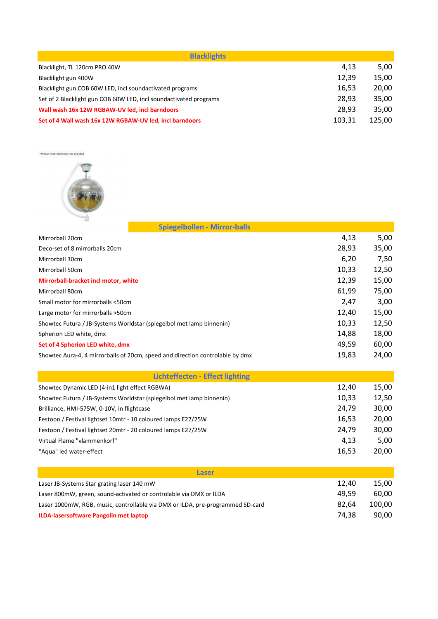| <b>Blacklights</b>                                                         |        |
|----------------------------------------------------------------------------|--------|
| 4.13<br>Blacklight, TL 120cm PRO 40W                                       | 5,00   |
| 12.39<br>Blacklight gun 400W                                               | 15,00  |
| 16.53<br>Blacklight gun COB 60W LED, incl soundactivated programs          | 20.00  |
| 28.93<br>Set of 2 Blacklight gun COB 60W LED, incl soundactivated programs | 35.00  |
| 28.93<br>Wall wash 16x 12W RGBAW-UV led, incl barndoors                    | 35.00  |
| 103.31<br>Set of 4 Wall wash 16x 12W RGBAW-UV led, incl barndoors          | 125,00 |

\*Please note: Mematuali not included



| <b>Spiegelbollen - Mirror-balls</b>                                           |       |       |
|-------------------------------------------------------------------------------|-------|-------|
| Mirrorball 20cm                                                               | 4,13  | 5,00  |
| Deco-set of 8 mirrorballs 20cm                                                | 28,93 | 35,00 |
| Mirrorball 30cm                                                               | 6,20  | 7,50  |
| Mirrorball 50cm                                                               | 10,33 | 12,50 |
| Mirrorball-bracket incl motor, white                                          | 12,39 | 15,00 |
| Mirrorball 80cm                                                               | 61,99 | 75,00 |
| Small motor for mirrorballs <50cm                                             | 2,47  | 3,00  |
| Large motor for mirrorballs >50cm                                             | 12,40 | 15,00 |
| Showtec Futura / JB-Systems Worldstar (spiegelbol met lamp binnenin)          | 10,33 | 12,50 |
| Spherion LED white, dmx                                                       | 14,88 | 18,00 |
| Set of 4 Spherion LED white, dmx                                              | 49.59 | 60,00 |
| Showtec Aura-4, 4 mirrorballs of 20cm, speed and direction controlable by dmx | 19,83 | 24,00 |

| Lichteffecten - Effect lighting                                                |       |        |
|--------------------------------------------------------------------------------|-------|--------|
| Showtec Dynamic LED (4-in1 light effect RGBWA)                                 | 12,40 | 15,00  |
| Showtec Futura / JB-Systems Worldstar (spiegelbol met lamp binnenin)           | 10,33 | 12,50  |
| Brilliance, HMI-575W, 0-10V, in flightcase                                     | 24,79 | 30,00  |
| Festoon / Festival lightset 10mtr - 10 coloured lamps E27/25W                  | 16,53 | 20,00  |
| Festoon / Festival lightset 20mtr - 20 coloured lamps E27/25W                  | 24,79 | 30,00  |
| Virtual Flame "vlammenkorf"                                                    | 4,13  | 5,00   |
| "Agua" led water-effect                                                        | 16,53 | 20,00  |
|                                                                                |       |        |
| Laser                                                                          |       |        |
| Laser JB-Systems Star grating laser 140 mW                                     | 12,40 | 15,00  |
| Laser 800mW, green, sound-activated or controlable via DMX or ILDA             | 49.59 | 60,00  |
| Laser 1000mW, RGB, music, controllable via DMX or ILDA, pre-programmed SD-card | 82,64 | 100,00 |
| <b>ILDA-lasersoftware Pangolin met laptop</b>                                  | 74.38 | 90,00  |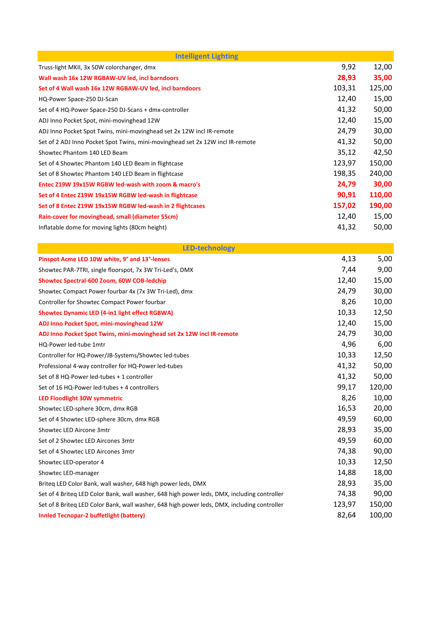| <b>Intelligent Lighting</b>                                                    |        |        |
|--------------------------------------------------------------------------------|--------|--------|
| Truss-light MKII, 3x 50W colorchanger, dmx                                     | 9,92   | 12,00  |
| Wall wash 16x 12W RGBAW-UV led, incl barndoors                                 | 28,93  | 35,00  |
| Set of 4 Wall wash 16x 12W RGBAW-UV led, incl barndoors                        | 103,31 | 125,00 |
| HQ-Power Space-250 DJ-Scan                                                     | 12,40  | 15,00  |
| Set of 4 HQ-Power Space-250 DJ-Scans + dmx-controller                          | 41,32  | 50,00  |
| ADJ Inno Pocket Spot, mini-movinghead 12W                                      | 12,40  | 15,00  |
| ADJ Inno Pocket Spot Twins, mini-movinghead set 2x 12W incl IR-remote          | 24,79  | 30,00  |
| Set of 2 ADJ Inno Pocket Spot Twins, mini-movinghead set 2x 12W incl IR-remote | 41,32  | 50,00  |
| Showtec Phantom 140 LED Beam                                                   | 35,12  | 42,50  |
| Set of 4 Showtec Phantom 140 LED Beam in flightcase                            | 123,97 | 150,00 |
| Set of 8 Showtec Phantom 140 LED Beam in flightcase                            | 198,35 | 240,00 |
| Entec Z19W 19x15W RGBW led-wash with zoom & macro's                            | 24,79  | 30,00  |
| Set of 4 Entec Z19W 19x15W RGBW led-wash in flightcase                         | 90,91  | 110,00 |
| Set of 8 Entec Z19W 19x15W RGBW led-wash in 2 flightcases                      | 157,02 | 190,00 |
| Rain-cover for movinghead, small (diameter 55cm)                               | 12,40  | 15,00  |
| Inflatable dome for moving lights (80cm height)                                | 41,32  | 50,00  |

| <b>LED-technology</b>                                                                       |        |        |
|---------------------------------------------------------------------------------------------|--------|--------|
| Pinspot Acme LED 10W white, 9° and 13°-lenses                                               | 4,13   | 5,00   |
| Showtec PAR-7TRI, single floorspot, 7x 3W Tri-Led's, DMX                                    | 7,44   | 9,00   |
| Showtec Spectral-600 Zoom, 60W COB-ledchip                                                  | 12,40  | 15,00  |
| Showtec Compact Power fourbar 4x (7x 3W Tri-Led), dmx                                       | 24,79  | 30,00  |
| Controller for Showtec Compact Power fourbar                                                | 8,26   | 10,00  |
| <b>Showtec Dynamic LED (4-in1 light effect RGBWA)</b>                                       | 10,33  | 12,50  |
| ADJ Inno Pocket Spot, mini-movinghead 12W                                                   | 12,40  | 15,00  |
| ADJ Inno Pocket Spot Twins, mini-movinghead set 2x 12W incl IR-remote                       | 24,79  | 30,00  |
| HQ-Power led-tube 1mtr                                                                      | 4,96   | 6,00   |
| Controller for HQ-Power/JB-Systems/Showtec led-tubes                                        | 10,33  | 12,50  |
| Professional 4-way controller for HQ-Power led-tubes                                        | 41,32  | 50,00  |
| Set of 8 HQ-Power led-tubes + 1 controller                                                  | 41,32  | 50,00  |
| Set of 16 HQ-Power led-tubes + 4 controllers                                                | 99,17  | 120,00 |
| <b>LED Floodlight 30W symmetric</b>                                                         | 8,26   | 10,00  |
| Showtec LED-sphere 30cm, dmx RGB                                                            | 16,53  | 20,00  |
| Set of 4 Showtec LED-sphere 30cm, dmx RGB                                                   | 49,59  | 60,00  |
| Showtec LED Aircone 3mtr                                                                    | 28,93  | 35,00  |
| Set of 2 Showtec LED Aircones 3mtr                                                          | 49,59  | 60,00  |
| Set of 4 Showtec LED Aircones 3mtr                                                          | 74,38  | 90,00  |
| Showtec LED-operator 4                                                                      | 10,33  | 12,50  |
| Showtec LED-manager                                                                         | 14,88  | 18,00  |
| Briteg LED Color Bank, wall washer, 648 high power leds, DMX                                | 28,93  | 35,00  |
| Set of 4 Briteg LED Color Bank, wall washer, 648 high power leds, DMX, including controller | 74,38  | 90,00  |
| Set of 8 Briteg LED Color Bank, wall washer, 648 high power leds, DMX, including controller | 123,97 | 150,00 |
| Innled Tecnopar-2 buffetlight (battery)                                                     | 82,64  | 100,00 |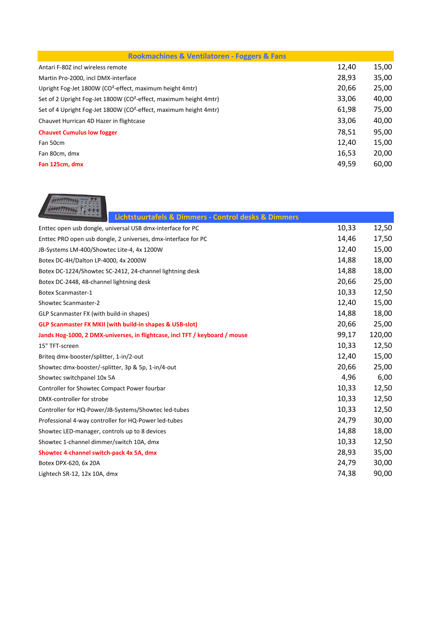| Rookmachines & Ventilatoren - Foggers & Fans                                  |       |       |
|-------------------------------------------------------------------------------|-------|-------|
| Antari F-80Z incl wireless remote                                             | 12,40 | 15,00 |
| Martin Pro-2000, incl DMX-interface                                           | 28,93 | 35,00 |
| Upright Fog-Jet 1800W (CO <sup>2</sup> -effect, maximum height 4mtr)          | 20,66 | 25,00 |
| Set of 2 Upright Fog-Jet 1800W (CO <sup>2</sup> -effect, maximum height 4mtr) | 33,06 | 40,00 |
| Set of 4 Upright Fog-Jet 1800W (CO <sup>2</sup> -effect, maximum height 4mtr) | 61,98 | 75,00 |
| Chauvet Hurrican 4D Hazer in flightcase                                       | 33,06 | 40,00 |
| <b>Chauvet Cumulus low fogger</b>                                             | 78,51 | 95,00 |
| Fan 50cm                                                                      | 12,40 | 15,00 |
| Fan 80cm, dmx                                                                 | 16,53 | 20,00 |
| Fan 125cm, dmx                                                                | 49,59 | 60,00 |



| <u> The Contract of Contract of the Contract of The Contract of The Contract of The Contract of The Contract of The Contract of The Contract of The Contract of The Contract of The Contract of The Contract of The Contract of </u><br><b>Lichtstuurtafels &amp; Dimmers - Control desks &amp; Dimmers</b> |       |        |
|-------------------------------------------------------------------------------------------------------------------------------------------------------------------------------------------------------------------------------------------------------------------------------------------------------------|-------|--------|
| Enttec open usb dongle, universal USB dmx-interface for PC                                                                                                                                                                                                                                                  | 10,33 | 12,50  |
| Enttec PRO open usb dongle, 2 universes, dmx-interface for PC                                                                                                                                                                                                                                               | 14,46 | 17,50  |
| JB-Systems LM-400/Showtec Lite-4, 4x 1200W                                                                                                                                                                                                                                                                  | 12,40 | 15,00  |
| Botex DC-4H/Dalton LP-4000, 4x 2000W                                                                                                                                                                                                                                                                        | 14,88 | 18,00  |
| Botex DC-1224/Showtec SC-2412, 24-channel lightning desk                                                                                                                                                                                                                                                    | 14,88 | 18,00  |
| Botex DC-2448, 48-channel lightning desk                                                                                                                                                                                                                                                                    | 20,66 | 25,00  |
| <b>Botex Scanmaster-1</b>                                                                                                                                                                                                                                                                                   | 10,33 | 12,50  |
| Showtec Scanmaster-2                                                                                                                                                                                                                                                                                        | 12,40 | 15,00  |
| GLP Scanmaster FX (with build-in shapes)                                                                                                                                                                                                                                                                    | 14,88 | 18,00  |
| <b>GLP Scanmaster FX MKII (with build-in shapes &amp; USB-slot)</b>                                                                                                                                                                                                                                         | 20,66 | 25,00  |
| Jands Hog-1000, 2 DMX-universes, in flightcase, incl TFT / keyboard / mouse                                                                                                                                                                                                                                 | 99,17 | 120,00 |
| 15" TFT-screen                                                                                                                                                                                                                                                                                              | 10,33 | 12,50  |
| Briteg dmx-booster/splitter, 1-in/2-out                                                                                                                                                                                                                                                                     | 12,40 | 15,00  |
| Showtec dmx-booster/-splitter, 3p & 5p, 1-in/4-out                                                                                                                                                                                                                                                          | 20,66 | 25,00  |
| Showtec switchpanel 10x 5A                                                                                                                                                                                                                                                                                  | 4,96  | 6,00   |
| Controller for Showtec Compact Power fourbar                                                                                                                                                                                                                                                                | 10,33 | 12,50  |
| DMX-controller for strobe                                                                                                                                                                                                                                                                                   | 10,33 | 12,50  |
| Controller for HQ-Power/JB-Systems/Showtec led-tubes                                                                                                                                                                                                                                                        | 10,33 | 12,50  |
| Professional 4-way controller for HQ-Power led-tubes                                                                                                                                                                                                                                                        | 24,79 | 30,00  |
| Showtec LED-manager, controls up to 8 devices                                                                                                                                                                                                                                                               | 14,88 | 18,00  |
| Showtec 1-channel dimmer/switch 10A, dmx                                                                                                                                                                                                                                                                    | 10,33 | 12,50  |
| Showtec 4-channel switch-pack 4x 5A, dmx                                                                                                                                                                                                                                                                    | 28,93 | 35,00  |
| Botex DPX-620, 6x 20A                                                                                                                                                                                                                                                                                       | 24,79 | 30,00  |
| Lightech SR-12, 12x 10A, dmx                                                                                                                                                                                                                                                                                | 74,38 | 90,00  |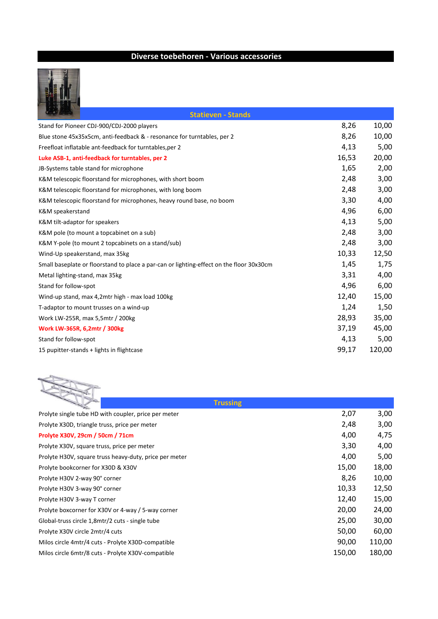### **Diverse toebehoren ‐ Various accessories**



| <b>Statieven - Stands</b>                                                                |       |        |
|------------------------------------------------------------------------------------------|-------|--------|
| Stand for Pioneer CDJ-900/CDJ-2000 players                                               | 8,26  | 10,00  |
| Blue stone 45x35x5cm, anti-feedback & - resonance for turntables, per 2                  | 8,26  | 10,00  |
| Freefloat inflatable ant-feedback for turntables, per 2                                  | 4,13  | 5,00   |
| Luke ASB-1, anti-feedback for turntables, per 2                                          | 16,53 | 20,00  |
| JB-Systems table stand for microphone                                                    | 1,65  | 2,00   |
| K&M telescopic floorstand for microphones, with short boom                               | 2,48  | 3,00   |
| K&M telescopic floorstand for microphones, with long boom                                | 2,48  | 3,00   |
| K&M telescopic floorstand for microphones, heavy round base, no boom                     | 3,30  | 4,00   |
| K&M speakerstand                                                                         | 4,96  | 6,00   |
| K&M tilt-adaptor for speakers                                                            | 4,13  | 5,00   |
| K&M pole (to mount a topcabinet on a sub)                                                | 2,48  | 3,00   |
| K&M Y-pole (to mount 2 topcabinets on a stand/sub)                                       | 2,48  | 3,00   |
| Wind-Up speakerstand, max 35kg                                                           | 10,33 | 12,50  |
| Small baseplate or floorstand to place a par-can or lighting-effect on the floor 30x30cm | 1,45  | 1,75   |
| Metal lighting-stand, max 35kg                                                           | 3,31  | 4,00   |
| Stand for follow-spot                                                                    | 4,96  | 6,00   |
| Wind-up stand, max 4,2mtr high - max load 100kg                                          | 12,40 | 15,00  |
| T-adaptor to mount trusses on a wind-up                                                  | 1,24  | 1,50   |
| Work LW-255R, max 5,5mtr / 200kg                                                         | 28,93 | 35,00  |
| Work LW-365R, 6,2mtr / 300kg                                                             | 37,19 | 45,00  |
| Stand for follow-spot                                                                    | 4,13  | 5,00   |
| 15 pupitter-stands + lights in flightcase                                                | 99,17 | 120,00 |
|                                                                                          |       |        |



| <b>Trussing</b>                                        |        |        |
|--------------------------------------------------------|--------|--------|
| Prolyte single tube HD with coupler, price per meter   | 2,07   | 3,00   |
| Prolyte X30D, triangle truss, price per meter          | 2,48   | 3,00   |
| Prolyte X30V, 29cm / 50cm / 71cm                       | 4,00   | 4,75   |
| Prolyte X30V, square truss, price per meter            | 3,30   | 4,00   |
| Prolyte H30V, square truss heavy-duty, price per meter | 4,00   | 5,00   |
| Prolyte bookcorner for X30D & X30V                     | 15,00  | 18,00  |
| Prolyte H30V 2-way 90° corner                          | 8,26   | 10,00  |
| Prolyte H30V 3-way 90° corner                          | 10,33  | 12,50  |
| Prolyte H30V 3-way T corner                            | 12,40  | 15,00  |
| Prolyte boxcorner for X30V or 4-way / 5-way corner     | 20,00  | 24,00  |
| Global-truss circle 1,8mtr/2 cuts - single tube        | 25,00  | 30,00  |
| Prolyte X30V circle 2mtr/4 cuts                        | 50,00  | 60,00  |
| Milos circle 4mtr/4 cuts - Prolyte X30D-compatible     | 90,00  | 110,00 |
| Milos circle 6mtr/8 cuts - Prolyte X30V-compatible     | 150,00 | 180,00 |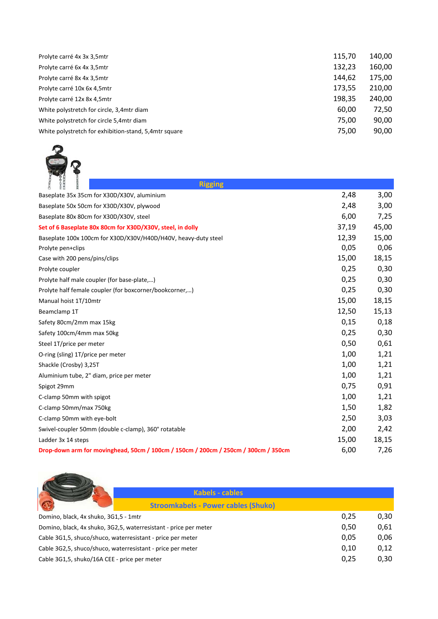| Prolyte carré 4x 3x 3,5mtr                            | 115.70 | 140.00 |
|-------------------------------------------------------|--------|--------|
| Prolyte carré 6x 4x 3,5mtr                            | 132,23 | 160,00 |
| Prolyte carré 8x 4x 3,5mtr                            | 144.62 | 175,00 |
| Prolyte carré 10x 6x 4,5mtr                           | 173,55 | 210.00 |
| Prolyte carré 12x 8x 4,5mtr                           | 198,35 | 240.00 |
| White polystretch for circle, 3,4mtr diam             | 60.00  | 72,50  |
| White polystretch for circle 5,4mtr diam              | 75.00  | 90,00  |
| White polystretch for exhibition-stand, 5,4mtr square | 75.00  | 90,00  |
|                                                       |        |        |



| ğ<br>Ř<br><b>Rigging</b>                                                           |       |       |
|------------------------------------------------------------------------------------|-------|-------|
| Baseplate 35x 35cm for X30D/X30V, aluminium                                        | 2,48  | 3,00  |
| Baseplate 50x 50cm for X30D/X30V, plywood                                          | 2,48  | 3,00  |
| Baseplate 80x 80cm for X30D/X30V, steel                                            | 6,00  | 7,25  |
| Set of 6 Baseplate 80x 80cm for X30D/X30V, steel, in dolly                         | 37,19 | 45,00 |
| Baseplate 100x 100cm for X30D/X30V/H40D/H40V, heavy-duty steel                     | 12,39 | 15,00 |
| Prolyte pen+clips                                                                  | 0,05  | 0,06  |
| Case with 200 pens/pins/clips                                                      | 15,00 | 18,15 |
| Prolyte coupler                                                                    | 0,25  | 0,30  |
| Prolyte half male coupler (for base-plate,)                                        | 0,25  | 0,30  |
| Prolyte half female coupler (for boxcorner/bookcorner,)                            | 0,25  | 0,30  |
| Manual hoist 1T/10mtr                                                              | 15,00 | 18,15 |
| Beamclamp 1T                                                                       | 12,50 | 15,13 |
| Safety 80cm/2mm max 15kg                                                           | 0,15  | 0,18  |
| Safety 100cm/4mm max 50kg                                                          | 0,25  | 0,30  |
| Steel 1T/price per meter                                                           | 0,50  | 0,61  |
| O-ring (sling) 1T/price per meter                                                  | 1,00  | 1,21  |
| Shackle (Crosby) 3,25T                                                             | 1,00  | 1,21  |
| Aluminium tube, 2" diam, price per meter                                           | 1,00  | 1,21  |
| Spigot 29mm                                                                        | 0,75  | 0,91  |
| C-clamp 50mm with spigot                                                           | 1,00  | 1,21  |
| C-clamp 50mm/max 750kg                                                             | 1,50  | 1,82  |
| C-clamp 50mm with eye-bolt                                                         | 2,50  | 3,03  |
| Swivel-coupler 50mm (double c-clamp), 360° rotatable                               | 2,00  | 2,42  |
| Ladder 3x 14 steps                                                                 | 15,00 | 18,15 |
| Drop-down arm for movinghead, 50cm / 100cm / 150cm / 200cm / 250cm / 300cm / 350cm | 6,00  | 7,26  |

|                                              | Kabels - cables                                                  |      |      |
|----------------------------------------------|------------------------------------------------------------------|------|------|
|                                              | <b>Stroomkabels - Power cables (Shuko)</b>                       |      |      |
| Domino, black, 4x shuko, 3G1,5 - 1mtr        |                                                                  | 0,25 | 0,30 |
|                                              | Domino, black, 4x shuko, 3G2,5, waterresistant - price per meter | 0,50 | 0,61 |
|                                              | Cable 3G1,5, shuco/shuco, waterresistant - price per meter       | 0,05 | 0,06 |
|                                              | Cable 3G2,5, shuco/shuco, waterresistant - price per meter       | 0,10 | 0,12 |
| Cable 3G1,5, shuko/16A CEE - price per meter |                                                                  | 0,25 | 0,30 |
|                                              |                                                                  |      |      |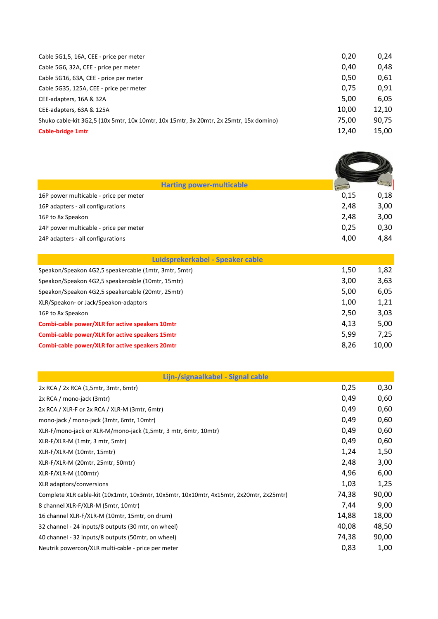| Cable 5G1,5, 16A, CEE - price per meter                                                | 0,20  | 0,24  |
|----------------------------------------------------------------------------------------|-------|-------|
| Cable 5G6, 32A, CEE - price per meter                                                  | 0.40  | 0,48  |
| Cable 5G16, 63A, CEE - price per meter                                                 | 0.50  | 0,61  |
| Cable 5G35, 125A, CEE - price per meter                                                | 0,75  | 0,91  |
| CEE-adapters, 16A & 32A                                                                | 5,00  | 6.05  |
| CEE-adapters, 63A & 125A                                                               | 10.00 | 12.10 |
| Shuko cable-kit 3G2,5 (10x 5mtr, 10x 10mtr, 10x 15mtr, 3x 20mtr, 2x 25mtr, 15x domino) | 75.00 | 90.75 |
| Cable-bridge 1mtr                                                                      | 12.40 | 15,00 |
|                                                                                        |       |       |

| <b>Harting power-multicable</b>        |      |      |
|----------------------------------------|------|------|
| 16P power multicable - price per meter | 0,15 | 0,18 |
| 16P adapters - all configurations      | 2,48 | 3,00 |
| 16P to 8x Speakon                      | 2,48 | 3,00 |
| 24P power multicable - price per meter | 0,25 | 0,30 |
| 24P adapters - all configurations      | 4,00 | 4,84 |

| Luidsprekerkabel - Speaker cable                      |      |       |
|-------------------------------------------------------|------|-------|
| Speakon/Speakon 4G2,5 speakercable (1mtr, 3mtr, 5mtr) | 1,50 | 1,82  |
| Speakon/Speakon 4G2,5 speakercable (10mtr, 15mtr)     | 3,00 | 3,63  |
| Speakon/Speakon 4G2.5 speakercable (20mtr, 25mtr)     | 5,00 | 6,05  |
| XLR/Speakon- or Jack/Speakon-adaptors                 | 1,00 | 1,21  |
| 16P to 8x Speakon                                     | 2,50 | 3,03  |
| Combi-cable power/XLR for active speakers 10mtr       | 4.13 | 5,00  |
| Combi-cable power/XLR for active speakers 15mtr       | 5,99 | 7.25  |
| Combi-cable power/XLR for active speakers 20mtr       | 8,26 | 10,00 |

| Lijn-/signaalkabel - Signal cable                                                       |       |       |
|-----------------------------------------------------------------------------------------|-------|-------|
| 2x RCA / 2x RCA (1,5mtr, 3mtr, 6mtr)                                                    | 0,25  | 0,30  |
| 2x RCA / mono-jack (3mtr)                                                               | 0,49  | 0,60  |
| 2x RCA / XLR-F or 2x RCA / XLR-M (3mtr, 6mtr)                                           | 0,49  | 0,60  |
| mono-jack / mono-jack (3mtr, 6mtr, 10mtr)                                               | 0,49  | 0,60  |
| XLR-F/mono-jack or XLR-M/mono-jack (1,5mtr, 3 mtr, 6mtr, 10mtr)                         | 0,49  | 0,60  |
| XLR-F/XLR-M (1mtr, 3 mtr, 5mtr)                                                         | 0,49  | 0,60  |
| XLR-F/XLR-M (10mtr, 15mtr)                                                              | 1,24  | 1,50  |
| XLR-F/XLR-M (20mtr, 25mtr, 50mtr)                                                       | 2,48  | 3,00  |
| XLR-F/XLR-M (100mtr)                                                                    | 4,96  | 6,00  |
| XLR adaptors/conversions                                                                | 1,03  | 1,25  |
| Complete XLR cable-kit (10x1mtr, 10x3mtr, 10x5mtr, 10x10mtr, 4x15mtr, 2x20mtr, 2x25mtr) | 74,38 | 90,00 |
| 8 channel XLR-F/XLR-M (5mtr, 10mtr)                                                     | 7,44  | 9,00  |
| 16 channel XLR-F/XLR-M (10mtr, 15mtr, on drum)                                          | 14,88 | 18,00 |
| 32 channel - 24 inputs/8 outputs (30 mtr, on wheel)                                     | 40,08 | 48,50 |
| 40 channel - 32 inputs/8 outputs (50mtr, on wheel)                                      | 74,38 | 90,00 |
| Neutrik powercon/XLR multi-cable - price per meter                                      | 0,83  | 1,00  |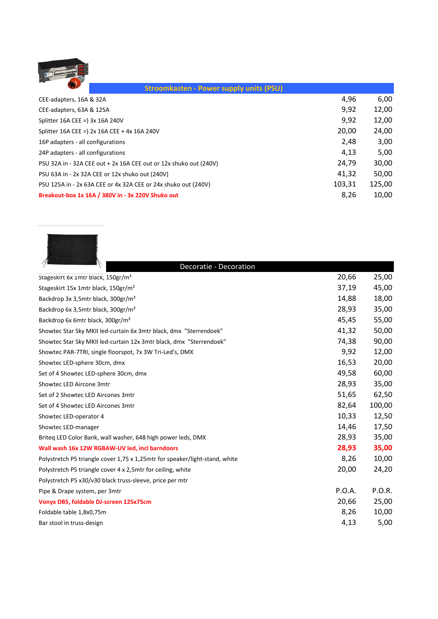

| w<br><b>Stroomkasten - Power supply units (PSU)</b>               |        |        |
|-------------------------------------------------------------------|--------|--------|
| CEE-adapters, 16A & 32A                                           | 4,96   | 6,00   |
| CEE-adapters, 63A & 125A                                          | 9,92   | 12,00  |
| Splitter 16A CEE =) 3x 16A 240V                                   | 9,92   | 12,00  |
| Splitter 16A CEE =) 2x 16A CEE + 4x 16A 240V                      | 20,00  | 24,00  |
| 16P adapters - all configurations                                 | 2,48   | 3,00   |
| 24P adapters - all configurations                                 | 4,13   | 5,00   |
| PSU 32A in - 32A CEE out + 2x 16A CEE out or 12x shuko out (240V) | 24,79  | 30,00  |
| PSU 63A in - 2x 32A CEE or 12x shuko out (240V)                   | 41,32  | 50,00  |
| PSU 125A in - 2x 63A CEE or 4x 32A CEE or 24x shuko out (240V)    | 103,31 | 125,00 |
| Breakout-box 1x 16A / 380V in - 3x 220V Shuko out                 | 8,26   | 10,00  |
|                                                                   |        |        |

| Decoratie - Decoration                                                      |        |        |
|-----------------------------------------------------------------------------|--------|--------|
| Stageskirt 6x 1mtr black, 150gr/m <sup>2</sup>                              | 20,66  | 25,00  |
| Stageskirt 15x 1mtr black, 150gr/m <sup>2</sup>                             | 37,19  | 45,00  |
| Backdrop 3x 3,5mtr black, 300gr/m <sup>2</sup>                              | 14,88  | 18,00  |
| Backdrop 6x 3,5mtr black, 300gr/m <sup>2</sup>                              | 28,93  | 35,00  |
| Backdrop 6x 6mtr black, 300gr/m <sup>2</sup>                                | 45,45  | 55,00  |
| Showtec Star Sky MKII led-curtain 6x 3mtr black, dmx "Sterrendoek"          | 41,32  | 50,00  |
| Showtec Star Sky MKII led-curtain 12x 3mtr black, dmx "Sterrendoek"         | 74,38  | 90,00  |
| Showtec PAR-7TRI, single floorspot, 7x 3W Tri-Led's, DMX                    | 9,92   | 12,00  |
| Showtec LED-sphere 30cm, dmx                                                | 16,53  | 20,00  |
| Set of 4 Showtec LED-sphere 30cm, dmx                                       | 49,58  | 60,00  |
| Showtec LED Aircone 3mtr                                                    | 28,93  | 35,00  |
| Set of 2 Showtec LED Aircones 3mtr                                          | 51,65  | 62,50  |
| Set of 4 Showtec LED Aircones 3mtr                                          | 82,64  | 100,00 |
| Showtec LED-operator 4                                                      | 10,33  | 12,50  |
| Showtec LED-manager                                                         | 14,46  | 17,50  |
| Briteq LED Color Bank, wall washer, 648 high power leds, DMX                | 28,93  | 35,00  |
| Wall wash 16x 12W RGBAW-UV led, incl barndoors                              | 28,93  | 35,00  |
| Polystretch P5 triangle cover 1,75 x 1,25mtr for speaker/light-stand, white | 8,26   | 10,00  |
| Polystretch P5 triangle cover 4 x 2,5mtr for ceiling, white                 | 20,00  | 24,20  |
| Polystretch P5 x30/v30 black truss-sleeve, price per mtr                    |        |        |
| Pipe & Drape system, per 3mtr                                               | P.O.A. | P.O.R. |
| Vonyx DB5, foldable DJ-screen 125x75cm                                      | 20,66  | 25,00  |
| Foldable table 1,8x0,75m                                                    | 8,26   | 10,00  |
| Bar stool in truss-design                                                   | 4,13   | 5,00   |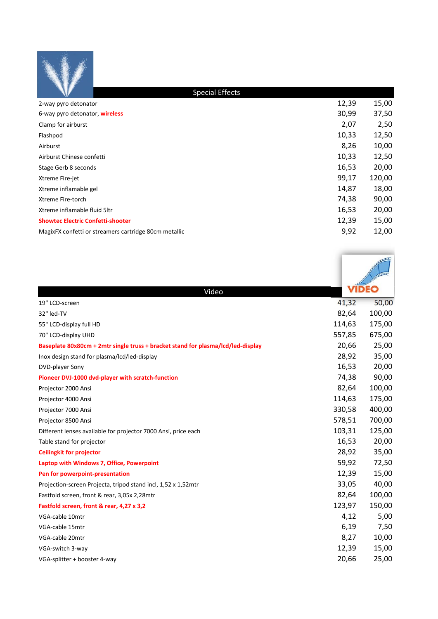

| 12,39 | 15,00  |
|-------|--------|
| 30,99 | 37,50  |
| 2,07  | 2,50   |
| 10,33 | 12,50  |
| 8,26  | 10,00  |
| 10,33 | 12,50  |
| 16,53 | 20,00  |
| 99,17 | 120,00 |
| 14,87 | 18,00  |
| 74,38 | 90,00  |
| 16,53 | 20,00  |
| 12,39 | 15,00  |
| 9,92  | 12,00  |
|       |        |

| Video                                                                            |        |        |
|----------------------------------------------------------------------------------|--------|--------|
| 19" LCD-screen                                                                   | 41,32  | 50,00  |
| 32" led-TV                                                                       | 82,64  | 100,00 |
| 55" LCD-display full HD                                                          | 114,63 | 175,00 |
| 70" LCD-display UHD                                                              | 557,85 | 675,00 |
| Baseplate 80x80cm + 2mtr single truss + bracket stand for plasma/lcd/led-display | 20,66  | 25,00  |
| Inox design stand for plasma/lcd/led-display                                     | 28,92  | 35,00  |
| DVD-player Sony                                                                  | 16,53  | 20,00  |
| Pioneer DVJ-1000 dvd-player with scratch-function                                | 74,38  | 90,00  |
| Projector 2000 Ansi                                                              | 82,64  | 100,00 |
| Projector 4000 Ansi                                                              | 114,63 | 175,00 |
| Projector 7000 Ansi                                                              | 330,58 | 400,00 |
| Projector 8500 Ansi                                                              | 578,51 | 700,00 |
| Different lenses available for projector 7000 Ansi, price each                   | 103,31 | 125,00 |
| Table stand for projector                                                        | 16,53  | 20,00  |
| <b>Ceilingkit for projector</b>                                                  | 28,92  | 35,00  |
| Laptop with Windows 7, Office, Powerpoint                                        | 59,92  | 72,50  |
| Pen for powerpoint-presentation                                                  | 12,39  | 15,00  |
| Projection-screen Projecta, tripod stand incl, 1,52 x 1,52mtr                    | 33,05  | 40,00  |
| Fastfold screen, front & rear, 3,05x 2,28mtr                                     | 82,64  | 100,00 |
| Fastfold screen, front & rear, 4,27 x 3,2                                        | 123,97 | 150,00 |
| VGA-cable 10mtr                                                                  | 4,12   | 5,00   |
| VGA-cable 15mtr                                                                  | 6,19   | 7,50   |
| VGA-cable 20mtr                                                                  | 8,27   | 10,00  |
| VGA-switch 3-way                                                                 | 12,39  | 15,00  |
| VGA-splitter + booster 4-way                                                     | 20,66  | 25,00  |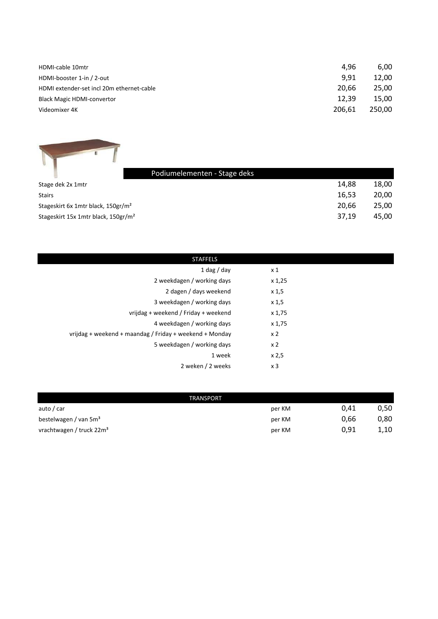| 4.96<br>HDMI-cable 10mtr                           | 6.00   |
|----------------------------------------------------|--------|
| 9.91<br>HDMI-booster 1-in / 2-out                  | 12.00  |
| 20.66<br>HDMI extender-set incl 20m ethernet-cable | 25.00  |
| 12.39<br><b>Black Magic HDMI-convertor</b>         | 15.00  |
| 206.61<br>Videomixer 4K                            | 250.00 |



|                                                 | Podiumelementen - Stage deks |       |       |
|-------------------------------------------------|------------------------------|-------|-------|
| Stage dek 2x 1mtr                               |                              | 14.88 | 18,00 |
| <b>Stairs</b>                                   |                              | 16.53 | 20,00 |
| Stageskirt 6x 1mtr black, 150gr/m <sup>2</sup>  |                              | 20.66 | 25.00 |
| Stageskirt 15x 1mtr black, 150gr/m <sup>2</sup> |                              | 37.19 | 45.00 |
|                                                 |                              |       |       |

| <b>STAFFELS</b>                                         |                |
|---------------------------------------------------------|----------------|
| 1 dag / day                                             | $\times 1$     |
| 2 weekdagen / working days                              | x 1,25         |
| 2 dagen / days weekend                                  | x 1,5          |
| 3 weekdagen / working days                              | x 1,5          |
| vrijdag + weekend / Friday + weekend                    | x 1,75         |
| 4 weekdagen / working days                              | x 1,75         |
| vrijdag + weekend + maandag / Friday + weekend + Monday | x <sub>2</sub> |
| 5 weekdagen / working days                              | x <sub>2</sub> |
| 1 week                                                  | x 2,5          |
| 2 weken / 2 weeks                                       | x <sub>3</sub> |

|                                      | <b>TRANSPORT</b> |      |      |
|--------------------------------------|------------------|------|------|
| auto / car                           | per KM           | 0,41 | 0,50 |
| bestelwagen / van 5m <sup>3</sup>    | per KM           | 0,66 | 0,80 |
| vrachtwagen / truck 22m <sup>3</sup> | per KM           | 0,91 | 1,10 |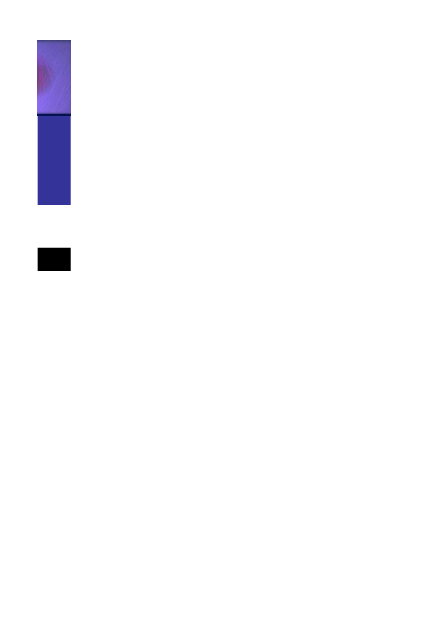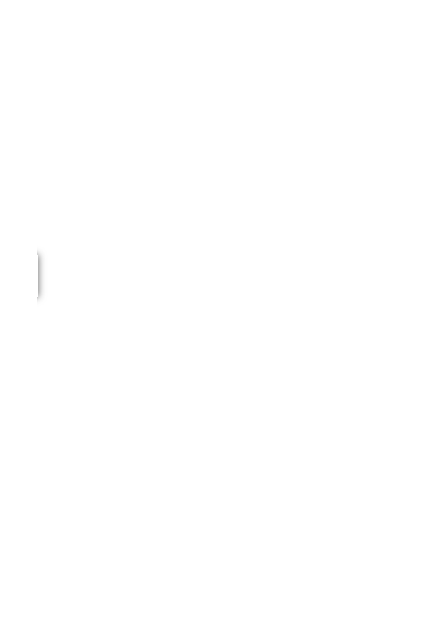$\begin{array}{ccc} \hline \end{array}$